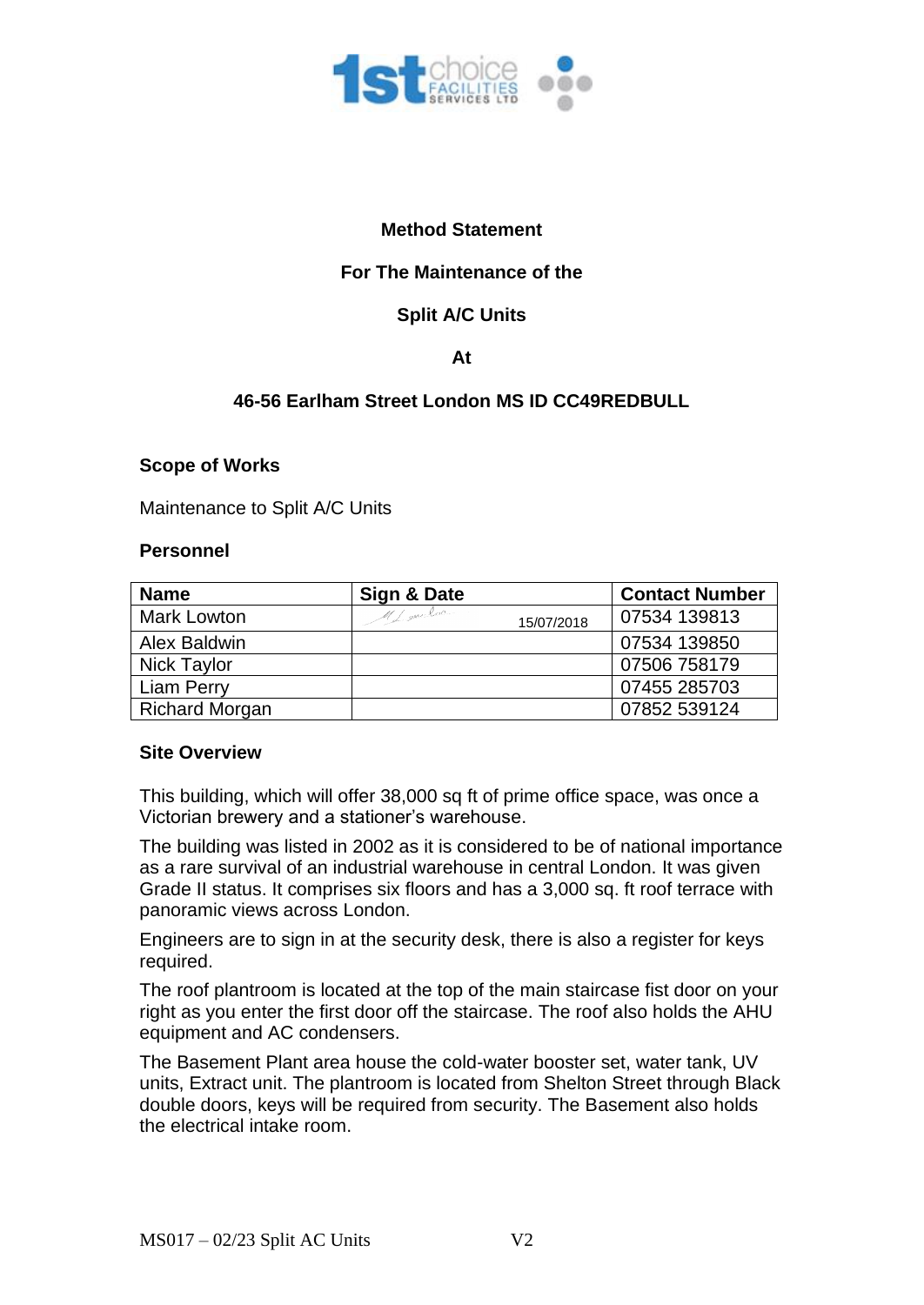

# **Method Statement**

# **For The Maintenance of the**

# **Split A/C Units**

## **At**

# **46-56 Earlham Street London MS ID CC49REDBULL**

### **Scope of Works**

Maintenance to Split A/C Units

### **Personnel**

| <b>Name</b>           | Sign & Date                | <b>Contact Number</b> |
|-----------------------|----------------------------|-----------------------|
| Mark Lowton           | MI gave look<br>15/07/2018 | 07534 139813          |
| Alex Baldwin          |                            | 07534 139850          |
| Nick Taylor           |                            | 07506 758179          |
| <b>Liam Perry</b>     |                            | 07455 285703          |
| <b>Richard Morgan</b> |                            | 07852 539124          |

### **Site Overview**

This building, which will offer 38,000 sq ft of prime office space, was once a Victorian brewery and a stationer's warehouse.

The building was listed in 2002 as it is considered to be of national importance as a rare survival of an industrial warehouse in central London. It was given Grade II status. It comprises six floors and has a 3,000 sq. ft roof terrace with panoramic views across London.

Engineers are to sign in at the security desk, there is also a register for keys required.

The roof plantroom is located at the top of the main staircase fist door on your right as you enter the first door off the staircase. The roof also holds the AHU equipment and AC condensers.

The Basement Plant area house the cold-water booster set, water tank, UV units, Extract unit. The plantroom is located from Shelton Street through Black double doors, keys will be required from security. The Basement also holds the electrical intake room.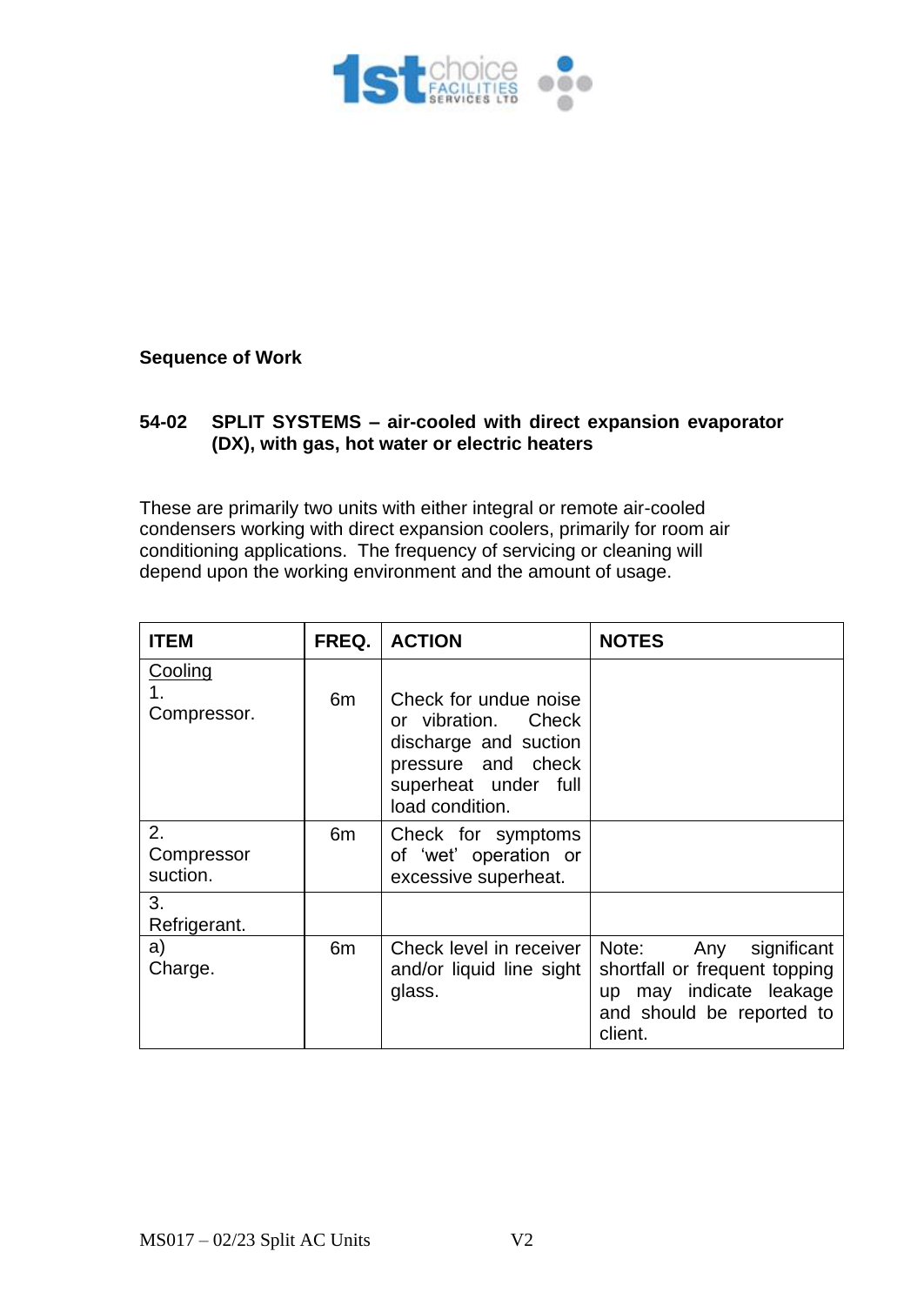

## **Sequence of Work**

## **54-02 SPLIT SYSTEMS – air-cooled with direct expansion evaporator (DX), with gas, hot water or electric heaters**

These are primarily two units with either integral or remote air-cooled condensers working with direct expansion coolers, primarily for room air conditioning applications. The frequency of servicing or cleaning will depend upon the working environment and the amount of usage.

| <b>ITEM</b>                  | FREQ.          | <b>ACTION</b>                                                                                                                          | <b>NOTES</b>                                                                                                                       |
|------------------------------|----------------|----------------------------------------------------------------------------------------------------------------------------------------|------------------------------------------------------------------------------------------------------------------------------------|
| Cooling<br>1.<br>Compressor. | 6m             | Check for undue noise<br>or vibration. Check<br>discharge and suction<br>pressure and check<br>superheat under full<br>load condition. |                                                                                                                                    |
| 2.<br>Compressor<br>suction. | 6m             | Check for symptoms<br>of 'wet' operation or<br>excessive superheat.                                                                    |                                                                                                                                    |
| 3.<br>Refrigerant.           |                |                                                                                                                                        |                                                                                                                                    |
| a)<br>Charge.                | 6 <sub>m</sub> | Check level in receiver<br>and/or liquid line sight<br>glass.                                                                          | Note:<br>Any<br>significant<br>shortfall or frequent topping<br>may indicate leakage<br>up<br>and should be reported to<br>client. |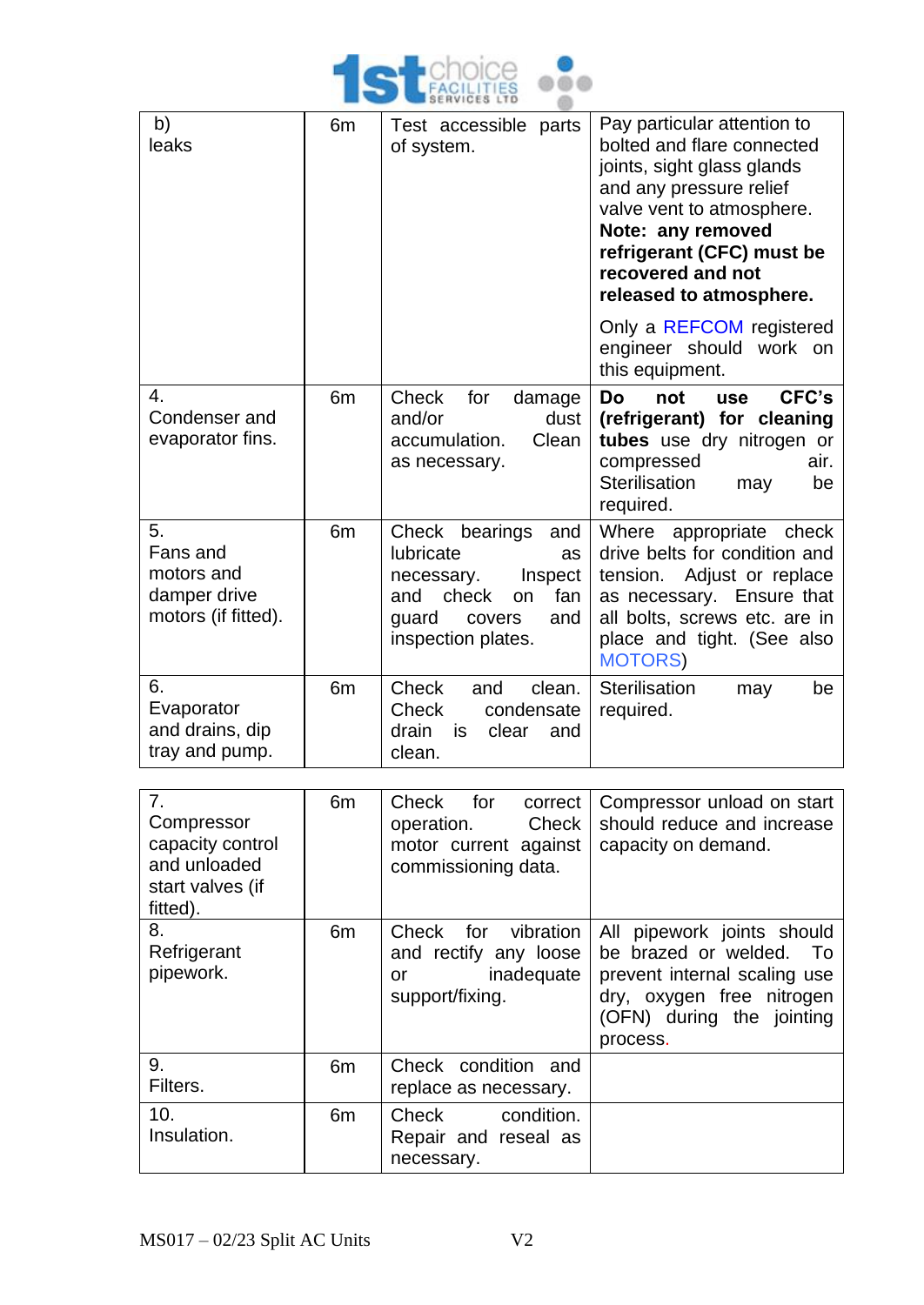

| b)<br>leaks                                                         | 6 <sub>m</sub> | Test accessible parts<br>of system.                                                                                                            | Pay particular attention to<br>bolted and flare connected<br>joints, sight glass glands<br>and any pressure relief<br>valve vent to atmosphere.<br>Note: any removed<br>refrigerant (CFC) must be<br>recovered and not<br>released to atmosphere.<br>Only a REFCOM registered<br>engineer should work on |
|---------------------------------------------------------------------|----------------|------------------------------------------------------------------------------------------------------------------------------------------------|----------------------------------------------------------------------------------------------------------------------------------------------------------------------------------------------------------------------------------------------------------------------------------------------------------|
| 4.<br>Condenser and<br>evaporator fins.                             | 6 <sub>m</sub> | Check<br>for<br>damage<br>and/or<br>dust<br>accumulation.<br>Clean<br>as necessary.                                                            | this equipment.<br>CFC's<br>Do<br>not<br><b>use</b><br>(refrigerant) for cleaning<br>tubes use dry nitrogen or<br>compressed<br>air.<br>Sterilisation<br>be<br>may<br>required.                                                                                                                          |
| 5.<br>Fans and<br>motors and<br>damper drive<br>motors (if fitted). | 6 <sub>m</sub> | Check bearings<br>and<br>lubricate<br>as<br>Inspect<br>necessary.<br>check<br>fan<br>and<br>on<br>quard<br>covers<br>and<br>inspection plates. | appropriate<br>Where<br>check<br>drive belts for condition and<br>Adjust or replace<br>tension.<br>as necessary. Ensure that<br>all bolts, screws etc. are in<br>place and tight. (See also<br><b>MOTORS</b>                                                                                             |
| 6.<br>Evaporator<br>and drains, dip<br>tray and pump.               | 6 <sub>m</sub> | Check<br>and<br>clean.<br>Check<br>condensate<br>clear<br>drain<br>is.<br>and<br>clean.                                                        | Sterilisation<br>be<br>may<br>required.                                                                                                                                                                                                                                                                  |

| 7 <sub>1</sub><br>Compressor<br>capacity control<br>and unloaded<br>start valves (if<br>fitted). | 6 <sub>m</sub> | Check for<br>correct<br>Check<br>operation.<br>motor current against<br>commissioning data. | Compressor unload on start<br>should reduce and increase<br>capacity on demand.                                                                             |
|--------------------------------------------------------------------------------------------------|----------------|---------------------------------------------------------------------------------------------|-------------------------------------------------------------------------------------------------------------------------------------------------------------|
| 8.<br>Refrigerant<br>pipework.                                                                   | 6 <sub>m</sub> | Check<br>vibration<br>for<br>and rectify any loose<br>inadequate<br>or<br>support/fixing.   | All pipework joints should<br>be brazed or welded. To<br>prevent internal scaling use<br>dry, oxygen free nitrogen<br>(OFN) during the jointing<br>process. |
| 9.<br>Filters.                                                                                   | 6 <sub>m</sub> | Check condition and<br>replace as necessary.                                                |                                                                                                                                                             |
| 10.<br>Insulation.                                                                               | 6 <sub>m</sub> | Check<br>condition.<br>Repair and reseal as<br>necessary.                                   |                                                                                                                                                             |